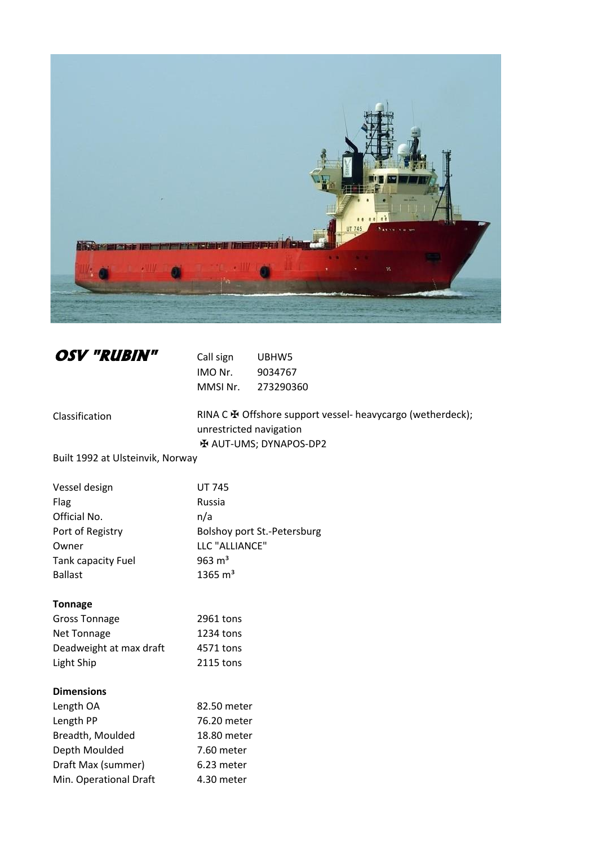

| <b>OSV "RUBIN"</b> | Ca |
|--------------------|----|
|                    | ıм |

**ORVIDES** UBHW5 IO Nr. 9034767 MMSI Nr. 273290360

Classification

RINA С  $\overline{\mathbf{H}}$  Offshore support vessel- heavycargo (wetherdeck); unrestricted navigation ✠ AUT-UMS; DYNAPOS-DP2

Built 1992 at Ulsteinvik, Norway

| Vessel design             | <b>UT 745</b>               |
|---------------------------|-----------------------------|
| Flag                      | Russia                      |
| Official No.              | n/a                         |
| Port of Registry          | Bolshoy port St.-Petersburg |
| Owner                     | LLC "ALLIANCE"              |
| <b>Tank capacity Fuel</b> | 963 $m3$                    |
| <b>Ballast</b>            | 1365 $m3$                   |
| <b>Tonnage</b>            |                             |
| $\sim$ $\sim$ $\sim$      |                             |

| <b>Gross Tonnage</b>    | 2961 tons |
|-------------------------|-----------|
| Net Tonnage             | 1234 tons |
| Deadweight at max draft | 4571 tons |
| Light Ship              | 2115 tons |

# **Dimensions**

| Length OA              | 82.50 meter |
|------------------------|-------------|
| Length PP              | 76.20 meter |
| Breadth, Moulded       | 18.80 meter |
| Depth Moulded          | 7.60 meter  |
| Draft Max (summer)     | 6.23 meter  |
| Min. Operational Draft | 4.30 meter  |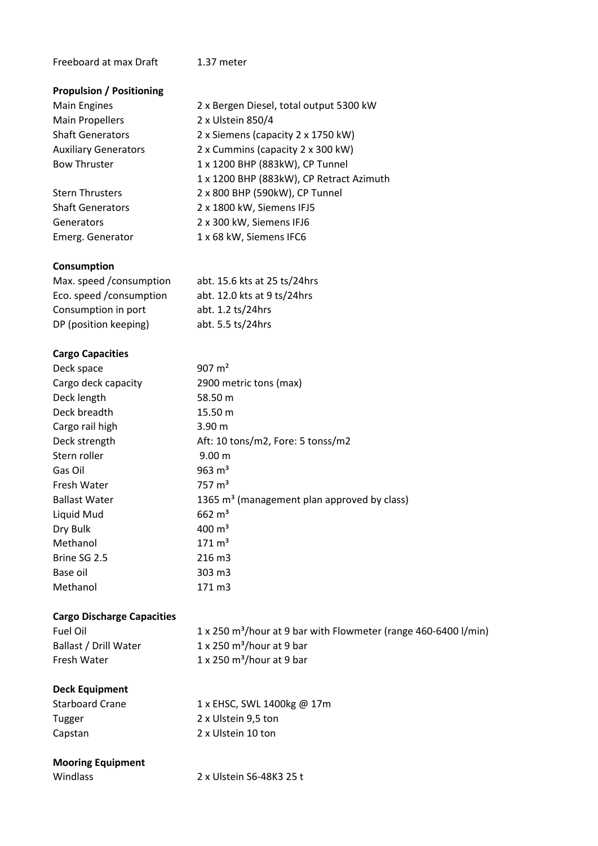### Freeboard at max Draft 1.37 meter

#### **Propulsion / Positioning**

Main Engines 2 x Bergen Diesel, total output 5300 kW Main Propellers 2 x Ulstein 850/4 Shaft Generators 2 x Siemens (capacity 2 x 1750 kW) Auxiliary Generators 2 x Cummins (capacity 2 x 300 kW) Bow Thruster 1 x 1200 BHP (883kW), CP Tunnel 1 x 1200 BHP (883kW), CP Retract Azimuth

Stern Thrusters 2 x 800 BHP (590kW), CP Tunnel Shaft Generators 2 x 1800 kW, Siemens IFJ5 Generators 2 x 300 kW, Siemens IFJ6 Emerg. Generator 1 x 68 kW, Siemens IFC6

#### **Consumption**

| Max. speed /consumption | abt. 15.6 kts at 25 ts/24hrs |
|-------------------------|------------------------------|
| Eco. speed /consumption | abt. 12.0 kts at 9 ts/24hrs  |
| Consumption in port     | abt. 1.2 ts/24hrs            |
| DP (position keeping)   | abt. 5.5 ts/24hrs            |

# **Cargo Capacities**

| Deck space           | 907 $m2$                                                |
|----------------------|---------------------------------------------------------|
| Cargo deck capacity  | 2900 metric tons (max)                                  |
| Deck length          | 58.50 m                                                 |
| Deck breadth         | 15.50 m                                                 |
| Cargo rail high      | 3.90 <sub>m</sub>                                       |
| Deck strength        | Aft: 10 tons/m2, Fore: 5 tonss/m2                       |
| Stern roller         | 9.00 <sub>m</sub>                                       |
| Gas Oil              | 963 $m3$                                                |
| Fresh Water          | $757 \text{ m}^3$                                       |
| <b>Ballast Water</b> | 1365 m <sup>3</sup> (management plan approved by class) |
| Liquid Mud           | $662 \text{ m}^3$                                       |
| Dry Bulk             | $400 \text{ m}^3$                                       |
| Methanol             | $171 \text{ m}^3$                                       |
| Brine SG 2.5         | 216 m3                                                  |
| Base oil             | 303 m3                                                  |
| Methanol             | 171 m3                                                  |

# **Cargo Discharge Capacities**

| Fuel Oil              | 1 x 250 m <sup>3</sup> /hour at 9 bar with Flowmeter (range 460-6400 l/min) |
|-----------------------|-----------------------------------------------------------------------------|
| Ballast / Drill Water | $1 \times 250$ m <sup>3</sup> /hour at 9 bar                                |
| Fresh Water           | $1 \times 250$ m <sup>3</sup> /hour at 9 bar                                |

# **Deck Equipment**

| <b>Starboard Crane</b> | 1 x EHSC, SWL 1400kg @ 17m |
|------------------------|----------------------------|
| Tugger                 | 2 x Ulstein 9.5 ton        |
| Capstan                | 2 x Ulstein 10 ton         |

### **Mooring Equipment**

| Windlass | 2 x Ulstein S6-48K3 25 t |
|----------|--------------------------|
|          |                          |